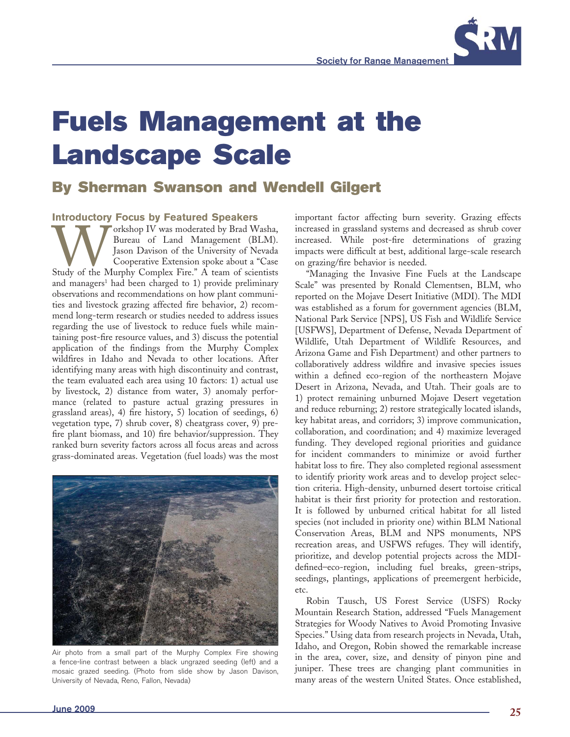**Society for Range Management** 

# **Fuels Management at the Landscape Scale**

## **By Sherman Swanson and Wendell Gilgert**

#### **Introductory Focus by Featured Speakers**

Washa, Bureau of Land Management (BLM).<br>
Jason Davison of the University of Nevada<br>
Cooperative Extension spoke about a "Case<br>
Study of the Murphy Complex Fire." A team of scientists Bureau of Land Management (BLM). Jason Davison of the University of Nevada Cooperative Extension spoke about a "Case and managers<sup>1</sup> had been charged to 1) provide preliminary observations and recommendations on how plant communities and livestock grazing affected fire behavior, 2) recommend long-term research or studies needed to address issues regarding the use of livestock to reduce fuels while maintaining post-fire resource values, and 3) discuss the potential application of the findings from the Murphy Complex wildfires in Idaho and Nevada to other locations. After identifying many areas with high discontinuity and contrast, the team evaluated each area using 10 factors: 1) actual use by livestock, 2) distance from water, 3) anomaly performance (related to pasture actual grazing pressures in grassland areas), 4) fire history, 5) location of seedings,  $6$ ) vegetation type, 7) shrub cover, 8) cheatgrass cover, 9) prefire plant biomass, and 10) fire behavior/suppression. They ranked burn severity factors across all focus areas and across grass-dominated areas. Vegetation (fuel loads) was the most



Air photo from a small part of the Murphy Complex Fire showing a fence-line contrast between a black ungrazed seeding (left) and a mosaic grazed seeding. (Photo from slide show by Jason Davison, University of Nevada, Reno, Fallon, Nevada)

important factor affecting burn severity. Grazing effects increased in grassland systems and decreased as shrub cover increased. While post-fire determinations of grazing impacts were difficult at best, additional large-scale research on grazing/fire behavior is needed.

"Managing the Invasive Fine Fuels at the Landscape Scale" was presented by Ronald Clementsen, BLM, who reported on the Mojave Desert Initiative (MDI). The MDI was established as a forum for government agencies (BLM, National Park Service [NPS], US Fish and Wildlife Service [USFWS], Department of Defense, Nevada Department of Wildlife, Utah Department of Wildlife Resources, and Arizona Game and Fish Department) and other partners to collaboratively address wildfire and invasive species issues within a defined eco-region of the northeastern Mojave Desert in Arizona, Nevada, and Utah. Their goals are to 1) protect remaining unburned Mojave Desert vegetation and reduce reburning; 2) restore strategically located islands, key habitat areas, and corridors; 3) improve communication, collaboration, and coordination; and 4) maximize leveraged funding. They developed regional priorities and guidance for incident commanders to minimize or avoid further habitat loss to fire. They also completed regional assessment to identify priority work areas and to develop project selection criteria. High-density, unburned desert tortoise critical habitat is their first priority for protection and restoration. It is followed by unburned critical habitat for all listed species (not included in priority one) within BLM National Conservation Areas, BLM and NPS monuments, NPS recreation areas, and USFWS refuges. They will identify, prioritize, and develop potential projects across the MDIdefined-eco-region, including fuel breaks, green-strips, seedings, plantings, applications of preemergent herbicide, etc.

Robin Tausch, US Forest Service (USFS) Rocky Mountain Research Station, addressed "Fuels Management Strategies for Woody Natives to Avoid Promoting Invasive Species." Using data from research projects in Nevada, Utah, Idaho, and Oregon, Robin showed the remarkable increase in the area, cover, size, and density of pinyon pine and juniper. These trees are changing plant communities in many areas of the western United States. Once established,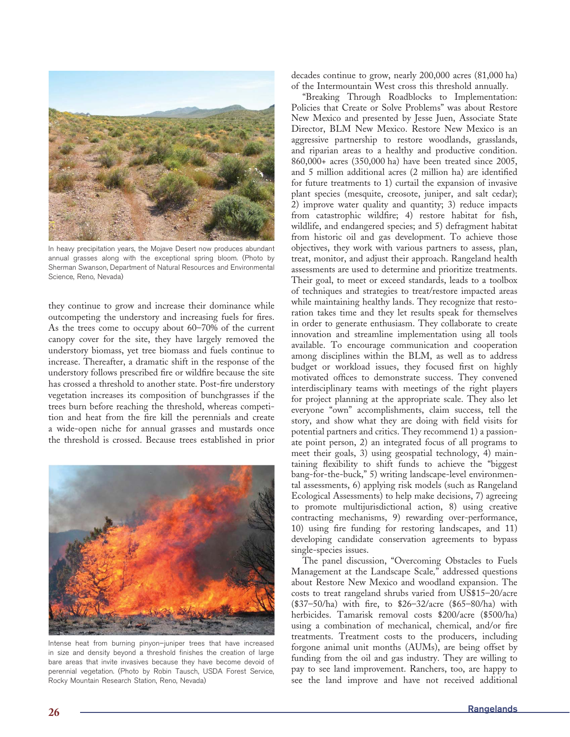

In heavy precipitation years, the Mojave Desert now produces abundant annual grasses along with the exceptional spring bloom. (Photo by Sherman Swanson, Department of Natural Resources and Environmental Science, Reno, Nevada)

they continue to grow and increase their dominance while outcompeting the understory and increasing fuels for fires. As the trees come to occupy about 60–70% of the current canopy cover for the site, they have largely removed the understory biomass, yet tree biomass and fuels continue to increase. Thereafter, a dramatic shift in the response of the understory follows prescribed fire or wildfire because the site has crossed a threshold to another state. Post-fire understory vegetation increases its composition of bunchgrasses if the trees burn before reaching the threshold, whereas competition and heat from the fire kill the perennials and create a wide-open niche for annual grasses and mustards once the threshold is crossed. Because trees established in prior



Intense heat from burning pinyon–juniper trees that have increased in size and density beyond a threshold finishes the creation of large bare areas that invite invasives because they have become devoid of perennial vegetation. (Photo by Robin Tausch, USDA Forest Service, Rocky Mountain Research Station, Reno, Nevada)

decades continue to grow, nearly 200,000 acres (81,000 ha) of the Intermountain West cross this threshold annually.

"Breaking Through Roadblocks to Implementation: Policies that Create or Solve Problems" was about Restore New Mexico and presented by Jesse Juen, Associate State Director, BLM New Mexico. Restore New Mexico is an aggressive partnership to restore woodlands, grasslands, and riparian areas to a healthy and productive condition. 860,000+ acres (350,000 ha) have been treated since 2005, and 5 million additional acres (2 million ha) are identified for future treatments to 1) curtail the expansion of invasive plant species (mesquite, creosote, juniper, and salt cedar); 2) improve water quality and quantity; 3) reduce impacts from catastrophic wildfire; 4) restore habitat for fish, wildlife, and endangered species; and 5) defragment habitat from historic oil and gas development. To achieve those objectives, they work with various partners to assess, plan, treat, monitor, and adjust their approach. Rangeland health assessments are used to determine and prioritize treatments. Their goal, to meet or exceed standards, leads to a toolbox of techniques and strategies to treat/restore impacted areas while maintaining healthy lands. They recognize that restoration takes time and they let results speak for themselves in order to generate enthusiasm. They collaborate to create innovation and streamline implementation using all tools available. To encourage communication and cooperation among disciplines within the BLM, as well as to address budget or workload issues, they focused first on highly motivated offices to demonstrate success. They convened interdisciplinary teams with meetings of the right players for project planning at the appropriate scale. They also let everyone "own" accomplishments, claim success, tell the story, and show what they are doing with field visits for potential partners and critics. They recommend 1) a passionate point person, 2) an integrated focus of all programs to meet their goals, 3) using geospatial technology, 4) maintaining flexibility to shift funds to achieve the "biggest" bang-for-the-buck," 5) writing landscape-level environmental assessments, 6) applying risk models (such as Rangeland Ecological Assessments) to help make decisions, 7) agreeing to promote multijurisdictional action, 8) using creative contracting mechanisms, 9) rewarding over-performance, 10) using fire funding for restoring landscapes, and 11) developing candidate conservation agreements to bypass single-species issues.

The panel discussion, "Overcoming Obstacles to Fuels Management at the Landscape Scale*,*" addressed questions about Restore New Mexico and woodland expansion. The costs to treat rangeland shrubs varied from US\$15–20/acre  $($37-50/ha)$  with fire, to  $$26-32/acre$   $($5-80/ha)$  with herbicides. Tamarisk removal costs \$200/acre (\$500/ha) using a combination of mechanical, chemical, and/or fire treatments. Treatment costs to the producers, including forgone animal unit months (AUMs), are being offset by funding from the oil and gas industry. They are willing to pay to see land improvement. Ranchers, too, are happy to see the land improve and have not received additional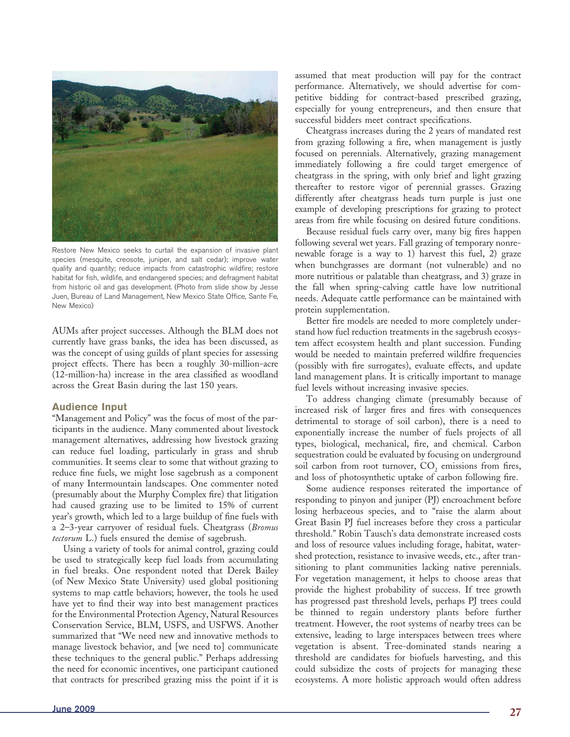

Restore New Mexico seeks to curtail the expansion of invasive plant species (mesquite, creosote, juniper, and salt cedar); improve water quality and quantity; reduce impacts from catastrophic wildfire; restore habitat for fish, wildlife, and endangered species; and defragment habitat from historic oil and gas development. (Photo from slide show by Jesse Juen, Bureau of Land Management, New Mexico State Office, Sante Fe, New Mexico)

AUMs after project successes. Although the BLM does not currently have grass banks, the idea has been discussed, as was the concept of using guilds of plant species for assessing project effects. There has been a roughly 30-million-acre  $(12$ -million-ha) increase in the area classified as woodland across the Great Basin during the last 150 years.

### **Audience Input**

"Management and Policy" was the focus of most of the participants in the audience. Many commented about livestock management alternatives, addressing how livestock grazing can reduce fuel loading, particularly in grass and shrub communities. It seems clear to some that without grazing to reduce fine fuels, we might lose sagebrush as a component of many Intermountain landscapes. One commenter noted (presumably about the Murphy Complex fire) that litigation had caused grazing use to be limited to 15% of current year's growth, which led to a large buildup of fine fuels with a 2–3-year carryover of residual fuels. Cheatgrass (*Bromus tectorum* L.) fuels ensured the demise of sagebrush.

Using a variety of tools for animal control, grazing could be used to strategically keep fuel loads from accumulating in fuel breaks. One respondent noted that Derek Bailey (of New Mexico State University) used global positioning systems to map cattle behaviors; however, the tools he used have yet to find their way into best management practices for the Environmental Protection Agency, Natural Resources Conservation Service, BLM, USFS, and USFWS. Another summarized that "We need new and innovative methods to manage livestock behavior, and [we need to] communicate these techniques to the general public." Perhaps addressing the need for economic incentives, one participant cautioned that contracts for prescribed grazing miss the point if it is

Cheatgrass increases during the 2 years of mandated rest from grazing following a fire, when management is justly focused on perennials. Alternatively, grazing management immediately following a fire could target emergence of cheatgrass in the spring, with only brief and light grazing thereafter to restore vigor of perennial grasses. Grazing differently after cheatgrass heads turn purple is just one example of developing prescriptions for grazing to protect areas from fire while focusing on desired future conditions.

Because residual fuels carry over, many big fires happen following several wet years. Fall grazing of temporary nonrenewable forage is a way to 1) harvest this fuel, 2) graze when bunchgrasses are dormant (not vulnerable) and no more nutritious or palatable than cheatgrass, and 3) graze in the fall when spring-calving cattle have low nutritional needs. Adequate cattle performance can be maintained with protein supplementation.

Better fire models are needed to more completely understand how fuel reduction treatments in the sagebrush ecosystem affect ecosystem health and plant succession. Funding would be needed to maintain preferred wildfire frequencies (possibly with fire surrogates), evaluate effects, and update land management plans. It is critically important to manage fuel levels without increasing invasive species.

To address changing climate (presumably because of increased risk of larger fires and fires with consequences detrimental to storage of soil carbon), there is a need to exponentially increase the number of fuels projects of all types, biological, mechanical, fire, and chemical. Carbon sequestration could be evaluated by focusing on underground soil carbon from root turnover,  $CO_2$  emissions from fires, and loss of photosynthetic uptake of carbon following fire.

Some audience responses reiterated the importance of responding to pinyon and juniper (PJ) encroachment before losing herbaceous species, and to "raise the alarm about Great Basin PJ fuel increases before they cross a particular threshold." Robin Tausch's data demonstrate increased costs and loss of resource values including forage, habitat, watershed protection, resistance to invasive weeds, etc., after transitioning to plant communities lacking native perennials. For vegetation management, it helps to choose areas that provide the highest probability of success. If tree growth has progressed past threshold levels, perhaps PJ trees could be thinned to regain understory plants before further treatment. However, the root systems of nearby trees can be extensive, leading to large interspaces between trees where vegetation is absent. Tree-dominated stands nearing a threshold are candidates for biofuels harvesting, and this could subsidize the costs of projects for managing these ecosystems. A more holistic approach would often address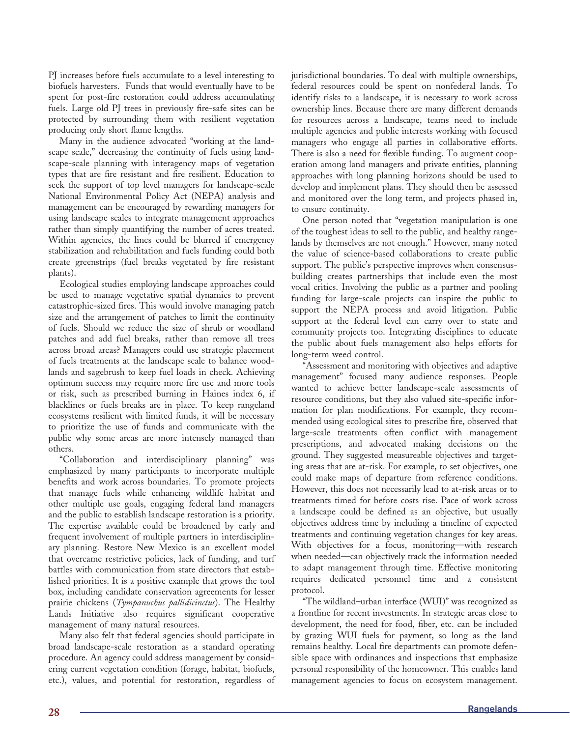PJ increases before fuels accumulate to a level interesting to biofuels harvesters. Funds that would eventually have to be spent for post-fire restoration could address accumulating fuels. Large old PJ trees in previously fire-safe sites can be protected by surrounding them with resilient vegetation producing only short flame lengths.

Many in the audience advocated "working at the landscape scale," decreasing the continuity of fuels using landscape-scale planning with interagency maps of vegetation types that are fire resistant and fire resilient. Education to seek the support of top level managers for landscape-scale National Environmental Policy Act (NEPA) analysis and management can be encouraged by rewarding managers for using landscape scales to integrate management approaches rather than simply quantifying the number of acres treated. Within agencies, the lines could be blurred if emergency stabilization and rehabilitation and fuels funding could both create greenstrips (fuel breaks vegetated by fire resistant plants).

Ecological studies employing landscape approaches could be used to manage vegetative spatial dynamics to prevent catastrophic-sized fires. This would involve managing patch size and the arrangement of patches to limit the continuity of fuels. Should we reduce the size of shrub or woodland patches and add fuel breaks, rather than remove all trees across broad areas? Managers could use strategic placement of fuels treatments at the landscape scale to balance woodlands and sagebrush to keep fuel loads in check. Achieving optimum success may require more fire use and more tools or risk, such as prescribed burning in Haines index 6, if blacklines or fuels breaks are in place. To keep rangeland ecosystems resilient with limited funds, it will be necessary to prioritize the use of funds and communicate with the public why some areas are more intensely managed than others.

"Collaboration and interdisciplinary planning" was emphasized by many participants to incorporate multiple benefits and work across boundaries. To promote projects that manage fuels while enhancing wildlife habitat and other multiple use goals, engaging federal land managers and the public to establish landscape restoration is a priority. The expertise available could be broadened by early and frequent involvement of multiple partners in interdisciplinary planning. Restore New Mexico is an excellent model that overcame restrictive policies, lack of funding, and turf battles with communication from state directors that established priorities. It is a positive example that grows the tool box, including candidate conservation agreements for lesser prairie chickens (*Tympanuchus pallidicinctus*). The Healthy Lands Initiative also requires significant cooperative management of many natural resources.

Many also felt that federal agencies should participate in broad landscape-scale restoration as a standard operating procedure. An agency could address management by considering current vegetation condition (forage, habitat, biofuels, etc.), values, and potential for restoration, regardless of jurisdictional boundaries. To deal with multiple ownerships, federal resources could be spent on nonfederal lands. To identify risks to a landscape, it is necessary to work across ownership lines. Because there are many different demands for resources across a landscape, teams need to include multiple agencies and public interests working with focused managers who engage all parties in collaborative efforts. There is also a need for flexible funding. To augment cooperation among land managers and private entities, planning approaches with long planning horizons should be used to develop and implement plans. They should then be assessed and monitored over the long term, and projects phased in, to ensure continuity.

One person noted that "vegetation manipulation is one of the toughest ideas to sell to the public, and healthy rangelands by themselves are not enough." However, many noted the value of science-based collaborations to create public support. The public's perspective improves when consensusbuilding creates partnerships that include even the most vocal critics. Involving the public as a partner and pooling funding for large-scale projects can inspire the public to support the NEPA process and avoid litigation. Public support at the federal level can carry over to state and community projects too. Integrating disciplines to educate the public about fuels management also helps efforts for long-term weed control.

"Assessment and monitoring with objectives and adaptive management" focused many audience responses. People wanted to achieve better landscape-scale assessments of resource conditions, but they also valued site-specific information for plan modifications. For example, they recommended using ecological sites to prescribe fire, observed that large-scale treatments often conflict with management prescriptions, and advocated making decisions on the ground. They suggested measureable objectives and targeting areas that are at-risk. For example, to set objectives, one could make maps of departure from reference conditions. However, this does not necessarily lead to at-risk areas or to treatments timed for before costs rise. Pace of work across a landscape could be defined as an objective, but usually objectives address time by including a timeline of expected treatments and continuing vegetation changes for key areas. With objectives for a focus, monitoring—with research when needed—can objectively track the information needed to adapt management through time. Effective monitoring requires dedicated personnel time and a consistent protocol.

"The wildland–urban interface (WUI)" was recognized as a frontline for recent investments. In strategic areas close to development, the need for food, fiber, etc. can be included by grazing WUI fuels for payment, so long as the land remains healthy. Local fire departments can promote defensible space with ordinances and inspections that emphasize personal responsibility of the homeowner. This enables land management agencies to focus on ecosystem management.